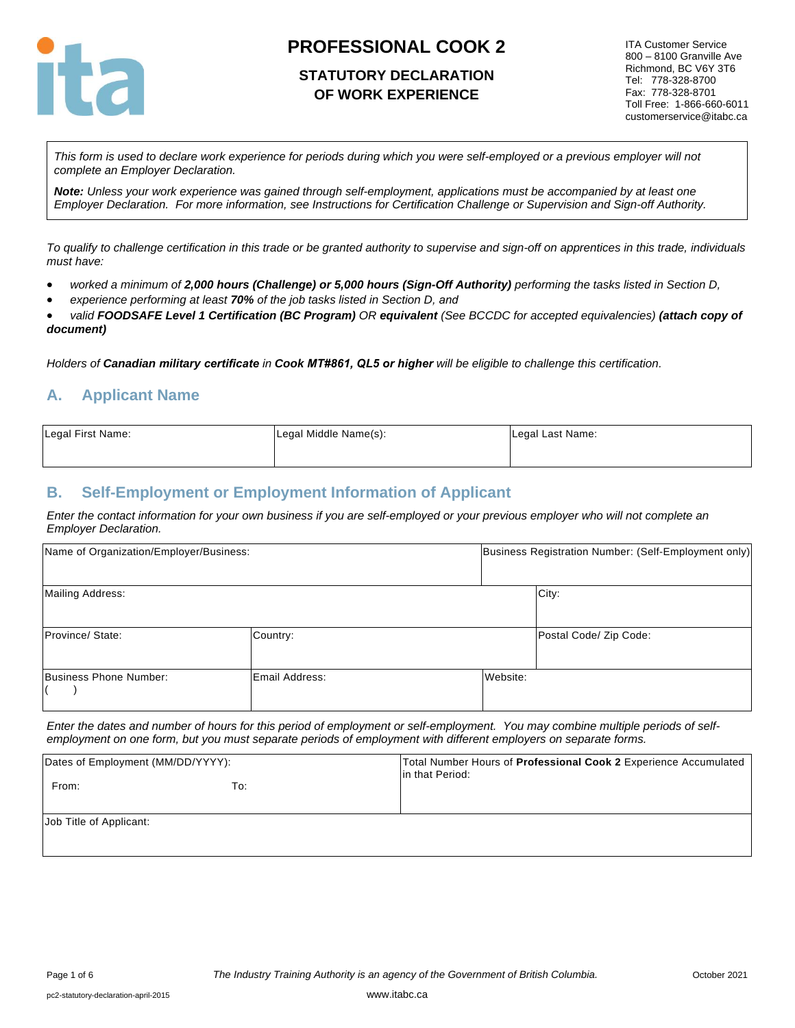

## **STATUTORY DECLARATION OF WORK EXPERIENCE**

ITA Customer Service 800 – 8100 Granville Ave Richmond, BC V6Y 3T6 Tel: 778-328-8700 Fax: 778-328-8701 Toll Free: 1-866-660-6011 customerservice@itabc.ca

*This form is used to declare work experience for periods during which you were self-employed or a previous employer will not complete an Employer Declaration.* 

*Note: Unless your work experience was gained through self-employment, applications must be accompanied by at least one Employer Declaration. For more information, see Instructions for Certification Challenge or Supervision and Sign-off Authority.*

*To qualify to challenge certification in this trade or be granted authority to supervise and sign-off on apprentices in this trade, individuals must have:*

- *worked a minimum of 2,000 hours (Challenge) or 5,000 hours (Sign-Off Authority) performing the tasks listed in Section D,*
- *experience performing at least 70% of the job tasks listed in Section D, and*

• *valid FOODSAFE Level 1 Certification (BC Program) OR equivalent (See BCCDC for accepted equivalencies) (attach copy of document)* 

*Holders of Canadian military certificate in Cook MT#861, QL5 or higher will be eligible to challenge this certification.*

## **A. Applicant Name**

| Legal First Name: | Legal Middle Name(s): | Legal Last Name: |
|-------------------|-----------------------|------------------|
|                   |                       |                  |

### **B. Self-Employment or Employment Information of Applicant**

*Enter the contact information for your own business if you are self-employed or your previous employer who will not complete an Employer Declaration.*

| Name of Organization/Employer/Business: |                |          | Business Registration Number: (Self-Employment only) |  |  |
|-----------------------------------------|----------------|----------|------------------------------------------------------|--|--|
| <b>Mailing Address:</b>                 |                |          | City:                                                |  |  |
| Province/ State:                        | Country:       |          | Postal Code/ Zip Code:                               |  |  |
| Business Phone Number:                  | Email Address: | Website: |                                                      |  |  |

*Enter the dates and number of hours for this period of employment or self-employment. You may combine multiple periods of selfemployment on one form, but you must separate periods of employment with different employers on separate forms.*

| Dates of Employment (MM/DD/YYYY): |     | Total Number Hours of <b>Professional Cook 2</b> Experience Accumulated<br>lin that Period: |
|-----------------------------------|-----|---------------------------------------------------------------------------------------------|
| From:                             | To: |                                                                                             |
| Job Title of Applicant:           |     |                                                                                             |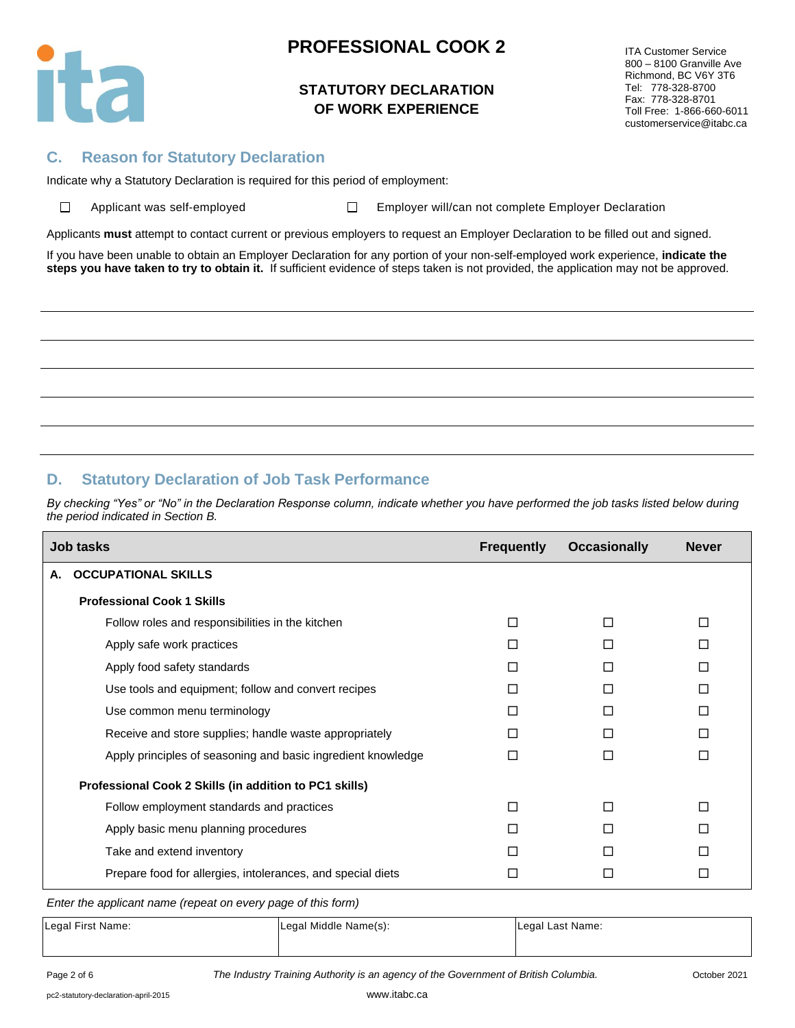

## **STATUTORY DECLARATION OF WORK EXPERIENCE**

ITA Customer Service 800 – 8100 Granville Ave Richmond, BC V6Y 3T6 Tel: 778-328-8700 Fax: 778-328-8701 Toll Free: 1-866-660-6011 customerservice@itabc.ca

### **C. Reason for Statutory Declaration**

Indicate why a Statutory Declaration is required for this period of employment:

 $\Box$ 

Applicant was self-employed  $\square$  Employer will/can not complete Employer Declaration

Applicants **must** attempt to contact current or previous employers to request an Employer Declaration to be filled out and signed.

If you have been unable to obtain an Employer Declaration for any portion of your non-self-employed work experience, **indicate the steps you have taken to try to obtain it.** If sufficient evidence of steps taken is not provided, the application may not be approved.

## **D. Statutory Declaration of Job Task Performance**

*By checking "Yes" or "No" in the Declaration Response column, indicate whether you have performed the job tasks listed below during the period indicated in Section B.*

|    | <b>Job tasks</b>                                             | <b>Frequently</b> | <b>Occasionally</b> | <b>Never</b> |
|----|--------------------------------------------------------------|-------------------|---------------------|--------------|
| А. | <b>OCCUPATIONAL SKILLS</b>                                   |                   |                     |              |
|    | <b>Professional Cook 1 Skills</b>                            |                   |                     |              |
|    | Follow roles and responsibilities in the kitchen             | П                 |                     |              |
|    | Apply safe work practices                                    |                   |                     |              |
|    | Apply food safety standards                                  | П                 | П                   | П            |
|    | Use tools and equipment; follow and convert recipes          |                   |                     |              |
|    | Use common menu terminology                                  |                   |                     | П            |
|    | Receive and store supplies; handle waste appropriately       | П                 | П                   | П            |
|    | Apply principles of seasoning and basic ingredient knowledge | П                 | П                   | П            |
|    | Professional Cook 2 Skills (in addition to PC1 skills)       |                   |                     |              |
|    | Follow employment standards and practices                    | П                 | П                   | П            |
|    | Apply basic menu planning procedures                         |                   |                     |              |
|    | Take and extend inventory                                    |                   | П                   |              |
|    | Prepare food for allergies, intolerances, and special diets  |                   |                     | $\mathsf{L}$ |

*Enter the applicant name (repeat on every page of this form)*

| Legal First Name: | Legal Middle Name(s): | Legal Last Name: |
|-------------------|-----------------------|------------------|
|                   |                       |                  |

Page 2 of 6 *The Industry Training Authority is an agency of the Government of British Columbia.* October 2021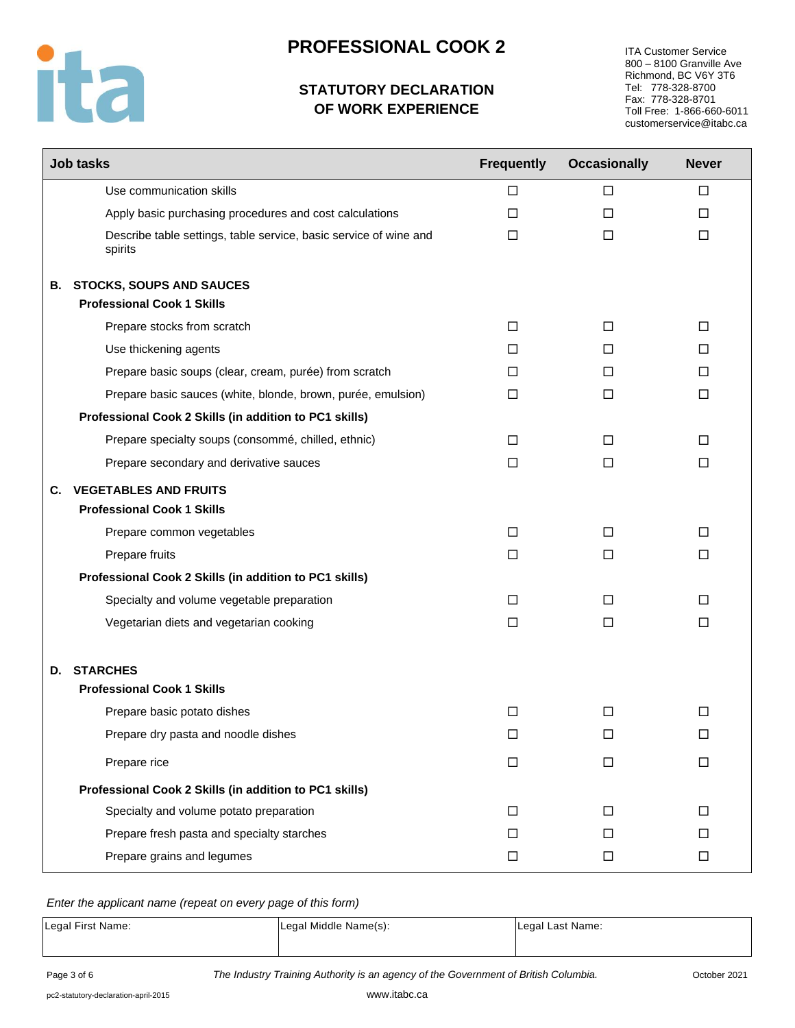

# **STATUTORY DECLARATION OF WORK EXPERIENCE**

ITA Customer Service 800 – 8100 Granville Ave Richmond, BC V6Y 3T6 Tel: 778-328-8700 Fax: 778-328-8701 Toll Free: 1-866-660-6011 customerservice@itabc.ca

| <b>Job tasks</b>                                                     |                                                                   | <b>Frequently</b> | <b>Occasionally</b> | <b>Never</b> |
|----------------------------------------------------------------------|-------------------------------------------------------------------|-------------------|---------------------|--------------|
| Use communication skills                                             |                                                                   | □                 | □                   | $\Box$       |
|                                                                      | Apply basic purchasing procedures and cost calculations           | $\Box$            | $\Box$              | $\Box$       |
| spirits                                                              | Describe table settings, table service, basic service of wine and | □                 | $\Box$              | $\Box$       |
| <b>B. STOCKS, SOUPS AND SAUCES</b>                                   |                                                                   |                   |                     |              |
| <b>Professional Cook 1 Skills</b>                                    |                                                                   |                   |                     |              |
| Prepare stocks from scratch                                          |                                                                   | $\Box$            | $\Box$              | $\Box$       |
| Use thickening agents                                                |                                                                   | П                 | П                   | $\Box$       |
|                                                                      | Prepare basic soups (clear, cream, purée) from scratch            | П                 | □                   | □            |
|                                                                      | Prepare basic sauces (white, blonde, brown, purée, emulsion)      | □                 | □                   | $\Box$       |
| Professional Cook 2 Skills (in addition to PC1 skills)               |                                                                   |                   |                     |              |
| Prepare specialty soups (consommé, chilled, ethnic)                  |                                                                   | □                 | □                   | □            |
| Prepare secondary and derivative sauces                              |                                                                   | $\Box$            | $\Box$              | $\Box$       |
| <b>C. VEGETABLES AND FRUITS</b><br><b>Professional Cook 1 Skills</b> |                                                                   |                   |                     |              |
| Prepare common vegetables                                            |                                                                   | □                 | $\Box$              | □            |
| Prepare fruits                                                       |                                                                   | □                 | $\Box$              | □            |
| Professional Cook 2 Skills (in addition to PC1 skills)               |                                                                   |                   |                     |              |
| Specialty and volume vegetable preparation                           |                                                                   | П                 | □                   | П            |
| Vegetarian diets and vegetarian cooking                              |                                                                   | □                 | □                   | □            |
| <b>STARCHES</b><br>D.<br><b>Professional Cook 1 Skills</b>           |                                                                   |                   |                     |              |
| Prepare basic potato dishes                                          |                                                                   | $\Box$            | $\Box$              | □            |
| Prepare dry pasta and noodle dishes                                  |                                                                   | $\Box$            | ⊔                   | ப            |
| Prepare rice                                                         |                                                                   | $\Box$            | $\Box$              | $\Box$       |
| Professional Cook 2 Skills (in addition to PC1 skills)               |                                                                   |                   |                     |              |
| Specialty and volume potato preparation                              |                                                                   | $\Box$            | $\Box$              | $\Box$       |
| Prepare fresh pasta and specialty starches                           |                                                                   | □                 | □                   | □            |
| Prepare grains and legumes                                           |                                                                   | $\Box$            | $\Box$              | $\Box$       |

*Enter the applicant name (repeat on every page of this form)*

| Legal First Name: | Legal Middle Name(s): | Legal Last Name: |  |
|-------------------|-----------------------|------------------|--|
|                   |                       |                  |  |

Page 3 of 6 *The Industry Training Authority is an agency of the Government of British Columbia.* October 2021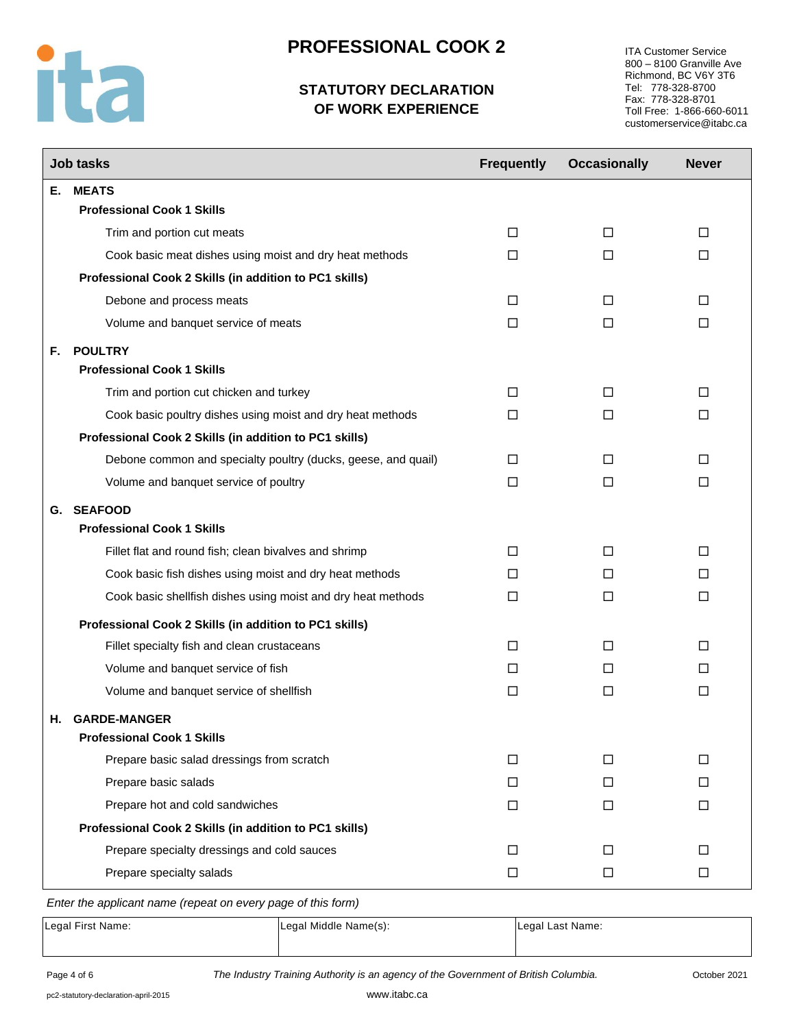

# **STATUTORY DECLARATION OF WORK EXPERIENCE**

ITA Customer Service 800 – 8100 Granville Ave Richmond, BC V6Y 3T6 Tel: 778-328-8700 Fax: 778-328-8701 Toll Free: 1-866-660-6011 customerservice@itabc.ca

|    | <b>Job tasks</b>                                              | <b>Frequently</b> | <b>Occasionally</b> | <b>Never</b> |
|----|---------------------------------------------------------------|-------------------|---------------------|--------------|
| Е. | <b>MEATS</b>                                                  |                   |                     |              |
|    | <b>Professional Cook 1 Skills</b>                             |                   |                     |              |
|    | Trim and portion cut meats                                    | □                 | □                   | □            |
|    | Cook basic meat dishes using moist and dry heat methods       | П                 | П                   | п            |
|    | Professional Cook 2 Skills (in addition to PC1 skills)        |                   |                     |              |
|    | Debone and process meats                                      | □                 | П                   | □            |
|    | Volume and banquet service of meats                           | $\Box$            | $\Box$              | $\Box$       |
| F. | <b>POULTRY</b>                                                |                   |                     |              |
|    | <b>Professional Cook 1 Skills</b>                             |                   |                     |              |
|    | Trim and portion cut chicken and turkey                       | □                 | □                   | □            |
|    | Cook basic poultry dishes using moist and dry heat methods    | П                 | П                   | П            |
|    | Professional Cook 2 Skills (in addition to PC1 skills)        |                   |                     |              |
|    | Debone common and specialty poultry (ducks, geese, and quail) | П                 | П                   | п            |
|    | Volume and banquet service of poultry                         | □                 | □                   | □            |
|    | G. SEAFOOD                                                    |                   |                     |              |
|    | <b>Professional Cook 1 Skills</b>                             |                   |                     |              |
|    | Fillet flat and round fish; clean bivalves and shrimp         | □                 | □                   | □            |
|    | Cook basic fish dishes using moist and dry heat methods       | П                 | П                   | П            |
|    | Cook basic shellfish dishes using moist and dry heat methods  | □                 | □                   | □            |
|    | Professional Cook 2 Skills (in addition to PC1 skills)        |                   |                     |              |
|    | Fillet specialty fish and clean crustaceans                   | □                 | П                   | □            |
|    | Volume and banquet service of fish                            | □                 | □                   | □            |
|    | Volume and banquet service of shellfish                       | □                 | □                   | □            |
| н. | <b>GARDE-MANGER</b>                                           |                   |                     |              |
|    | <b>Professional Cook 1 Skills</b>                             |                   |                     |              |
|    | Prepare basic salad dressings from scratch                    | □                 | □                   | $\Box$       |
|    | Prepare basic salads                                          | □                 | □                   | $\Box$       |
|    | Prepare hot and cold sandwiches                               | □                 | □                   | □            |
|    | Professional Cook 2 Skills (in addition to PC1 skills)        |                   |                     |              |
|    | Prepare specialty dressings and cold sauces                   | □                 | П                   | □            |
|    | Prepare specialty salads                                      | $\Box$            | $\Box$              | $\Box$       |

*Enter the applicant name (repeat on every page of this form)*

Legal First Name: Legal Middle Name(s): Legal Legal Last Name: Legal Last Name:

Page 4 of 6 *The Industry Training Authority is an agency of the Government of British Columbia.* October 2021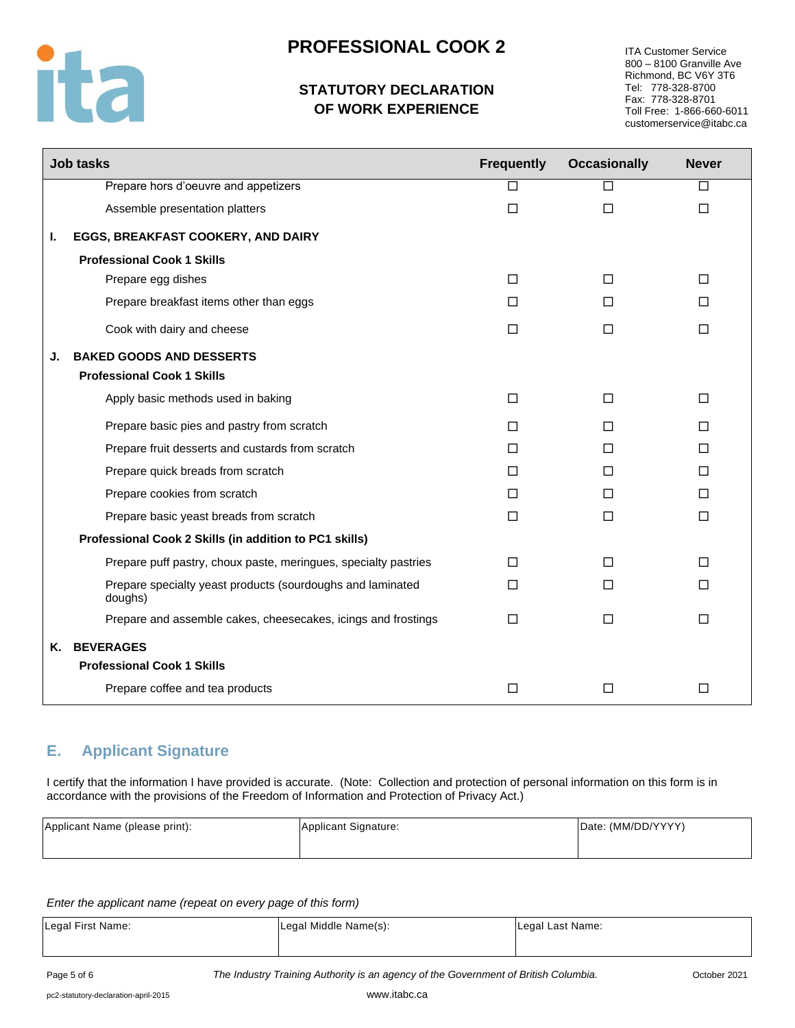

# **STATUTORY DECLARATION OF WORK EXPERIENCE**

ITA Customer Service 800 – 8100 Granville Ave Richmond, BC V6Y 3T6 Tel: 778-328-8700 Fax: 778-328-8701 Toll Free: 1-866-660-6011 customerservice@itabc.ca

|    | <b>Job tasks</b>                                                      | <b>Frequently</b> | <b>Occasionally</b> | <b>Never</b> |
|----|-----------------------------------------------------------------------|-------------------|---------------------|--------------|
|    | Prepare hors d'oeuvre and appetizers                                  | U                 | П                   | □            |
|    | Assemble presentation platters                                        | $\Box$            | $\Box$              | $\Box$       |
| L. | EGGS, BREAKFAST COOKERY, AND DAIRY                                    |                   |                     |              |
|    | <b>Professional Cook 1 Skills</b>                                     |                   |                     |              |
|    | Prepare egg dishes                                                    | П                 | П                   | П            |
|    | Prepare breakfast items other than eggs                               | $\Box$            | П                   | П            |
|    | Cook with dairy and cheese                                            | $\Box$            | $\Box$              | $\Box$       |
| J. | <b>BAKED GOODS AND DESSERTS</b>                                       |                   |                     |              |
|    | <b>Professional Cook 1 Skills</b>                                     |                   |                     |              |
|    | Apply basic methods used in baking                                    | $\Box$            | $\Box$              | П            |
|    | Prepare basic pies and pastry from scratch                            | $\Box$            | П                   | $\Box$       |
|    | Prepare fruit desserts and custards from scratch                      | $\Box$            | П                   | $\Box$       |
|    | Prepare quick breads from scratch                                     | $\Box$            | П                   | $\Box$       |
|    | Prepare cookies from scratch                                          | $\Box$            | П                   | $\Box$       |
|    | Prepare basic yeast breads from scratch                               | $\Box$            | $\Box$              | $\Box$       |
|    | Professional Cook 2 Skills (in addition to PC1 skills)                |                   |                     |              |
|    | Prepare puff pastry, choux paste, meringues, specialty pastries       | П                 | п                   | П            |
|    | Prepare specialty yeast products (sourdoughs and laminated<br>doughs) | $\Box$            | П                   | П            |
|    | Prepare and assemble cakes, cheesecakes, icings and frostings         | П                 | П                   | $\Box$       |
| Κ. | <b>BEVERAGES</b>                                                      |                   |                     |              |
|    | <b>Professional Cook 1 Skills</b>                                     |                   |                     |              |
|    | Prepare coffee and tea products                                       | $\Box$            | $\Box$              | □            |

## **E. Applicant Signature**

I certify that the information I have provided is accurate. (Note: Collection and protection of personal information on this form is in accordance with the provisions of the Freedom of Information and Protection of Privacy Act.)

| Applicant Name (please print): | Applicant Signature: | Date: (MM/DD/YYYY) |
|--------------------------------|----------------------|--------------------|
|                                |                      |                    |

*Enter the applicant name (repeat on every page of this form)*

| Legal First Name: | Legal Middle Name(s): | Legal Last Name: |
|-------------------|-----------------------|------------------|
|                   |                       |                  |

Page 5 of 6 *The Industry Training Authority is an agency of the Government of British Columbia.* October 2021